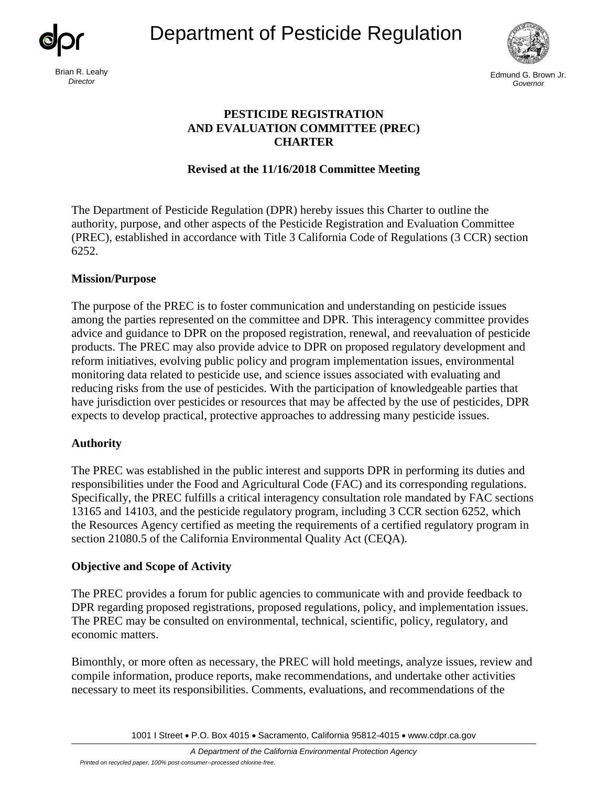Department of Pesticide Regulation





Brian R. Leahy **Edmund G. Brown Jr.** and the set of the set of the set of the set of the set of the set of the set of the set of the set of the set of the set of the set of the set of the set of the set of the set of the s *Director Governor* 

# **PESTICIDE REGISTRATION AND EVALUATION COMMITTEE (PREC) CHARTER**

## **Revised at the 11/16/2018 Committee Meeting**

The Department of Pesticide Regulation (DPR) hereby issues this Charter to outline the authority, purpose, and other aspects of the Pesticide Registration and Evaluation Committee (PREC), established in accordance with Title 3 California Code of Regulations (3 CCR) section 6252.

### **Mission/Purpose**

 among the parties represented on the committee and DPR. This interagency committee provides The purpose of the PREC is to foster communication and understanding on pesticide issues advice and guidance to DPR on the proposed registration, renewal, and reevaluation of pesticide products. The PREC may also provide advice to DPR on proposed regulatory development and reform initiatives, evolving public policy and program implementation issues, environmental monitoring data related to pesticide use, and science issues associated with evaluating and reducing risks from the use of pesticides. With the participation of knowledgeable parties that have jurisdiction over pesticides or resources that may be affected by the use of pesticides, DPR expects to develop practical, protective approaches to addressing many pesticide issues.

### **Authority**

The PREC was established in the public interest and supports DPR in performing its duties and responsibilities under the Food and Agricultural Code (FAC) and its corresponding regulations. Specifically, the PREC fulfills a critical interagency consultation role mandated by FAC sections 13165 and 14103, and the pesticide regulatory program, including 3 CCR section 6252, which the Resources Agency certified as meeting the requirements of a certified regulatory program in section 21080.5 of the California Environmental Quality Act (CEQA).

### **Objective and Scope of Activity**

The PREC provides a forum for public agencies to communicate with and provide feedback to DPR regarding proposed registrations, proposed regulations, policy, and implementation issues. The PREC may be consulted on environmental, technical, scientific, policy, regulatory, and economic matters.

Bimonthly, or more often as necessary, the PREC will hold meetings, analyze issues, review and compile information, produce reports, make recommendations, and undertake other activities necessary to meet its responsibilities. Comments, evaluations, and recommendations of the

1001 I Street • P.O. Box 4015 • Sacramento, California 95812-4015 • www.cdpr.ca.gov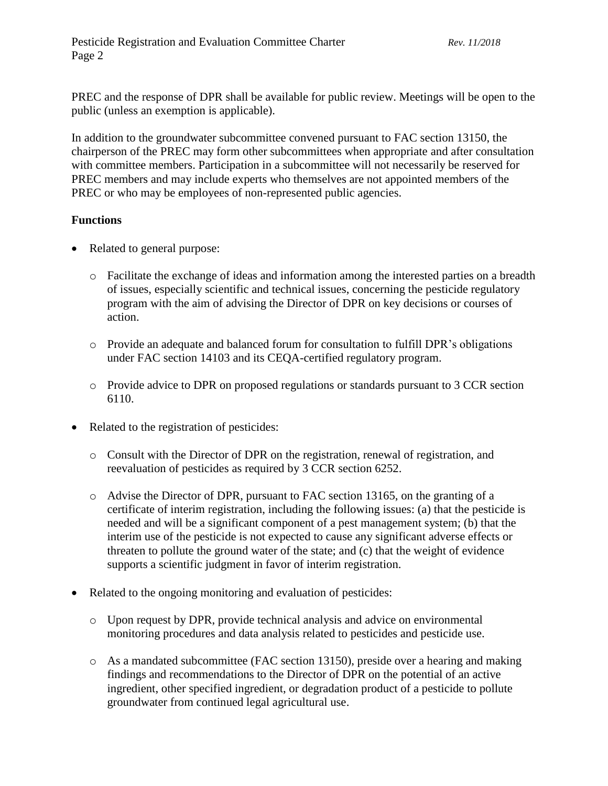PREC and the response of DPR shall be available for public review. Meetings will be open to the public (unless an exemption is applicable).

In addition to the groundwater subcommittee convened pursuant to FAC section 13150, the chairperson of the PREC may form other subcommittees when appropriate and after consultation with committee members. Participation in a subcommittee will not necessarily be reserved for PREC members and may include experts who themselves are not appointed members of the PREC or who may be employees of non-represented public agencies.

### **Functions**

- Related to general purpose:
	- o Facilitate the exchange of ideas and information among the interested parties on a breadth of issues, especially scientific and technical issues, concerning the pesticide regulatory program with the aim of advising the Director of DPR on key decisions or courses of action.
	- o Provide an adequate and balanced forum for consultation to fulfill DPR's obligations under FAC section 14103 and its CEQA-certified regulatory program.
	- o Provide advice to DPR on proposed regulations or standards pursuant to 3 CCR section 6110.
- Related to the registration of pesticides:
	- o Consult with the Director of DPR on the registration, renewal of registration, and reevaluation of pesticides as required by 3 CCR section 6252.
	- o Advise the Director of DPR, pursuant to FAC section 13165, on the granting of a certificate of interim registration, including the following issues: (a) that the pesticide is needed and will be a significant component of a pest management system; (b) that the interim use of the pesticide is not expected to cause any significant adverse effects or threaten to pollute the ground water of the state; and (c) that the weight of evidence supports a scientific judgment in favor of interim registration.
- Related to the ongoing monitoring and evaluation of pesticides:
	- o Upon request by DPR, provide technical analysis and advice on environmental monitoring procedures and data analysis related to pesticides and pesticide use.
	- o As a mandated subcommittee (FAC section 13150), preside over a hearing and making findings and recommendations to the Director of DPR on the potential of an active ingredient, other specified ingredient, or degradation product of a pesticide to pollute groundwater from continued legal agricultural use.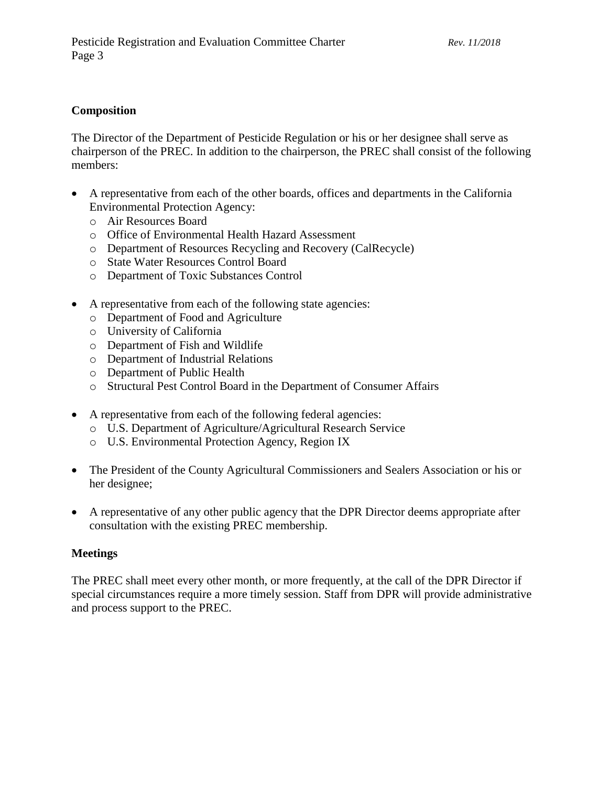#### **Composition**

The Director of the Department of Pesticide Regulation or his or her designee shall serve as chairperson of the PREC. In addition to the chairperson, the PREC shall consist of the following members:

- A representative from each of the other boards, offices and departments in the California Environmental Protection Agency:
	- o Air Resources Board
	- o Office of Environmental Health Hazard Assessment
	- o Department of Resources Recycling and Recovery (CalRecycle)
	- o State Water Resources Control Board
	- o Department of Toxic Substances Control
- A representative from each of the following state agencies:
	- o Department of Food and Agriculture
	- o University of California
	- o Department of Fish and Wildlife
	- o Department of Industrial Relations
	- o Department of Public Health
	- o Structural Pest Control Board in the Department of Consumer Affairs
- A representative from each of the following federal agencies:
	- o U.S. Department of Agriculture/Agricultural Research Service
	- o U.S. Environmental Protection Agency, Region IX
- The President of the County Agricultural Commissioners and Sealers Association or his or her designee;
- A representative of any other public agency that the DPR Director deems appropriate after consultation with the existing PREC membership.

#### **Meetings**

The PREC shall meet every other month, or more frequently, at the call of the DPR Director if special circumstances require a more timely session. Staff from DPR will provide administrative and process support to the PREC.